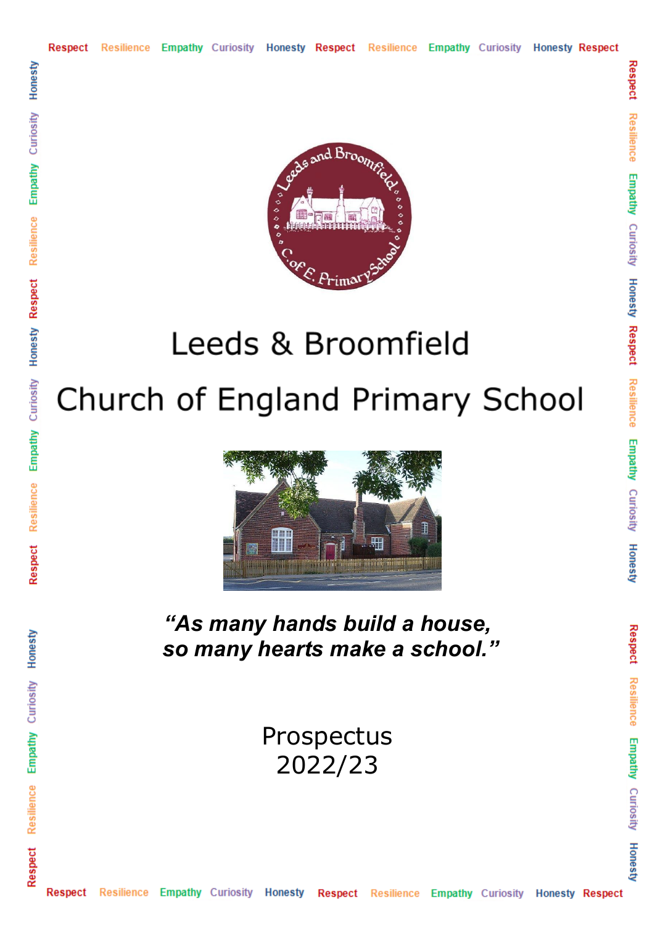

Respect Resilience Empathy Curiosity Honesty Respect Resilience Empathy Curiosity Honesty

Respect

Resilience Empathy Curiosity Honesty

# Leeds & Broomfield Church of England Primary School



*"As many hands build a house, so many hearts make a school."*

> Prospectus 2022/23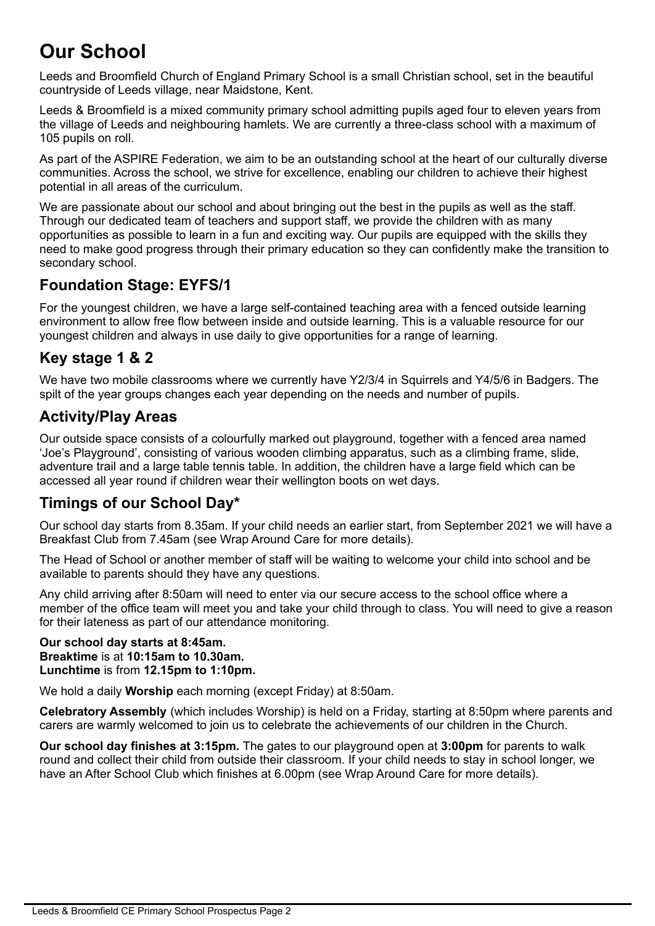# **Our School**

Leeds and Broomfield Church of England Primary School is a small Christian school, set in the beautiful countryside of Leeds village, near Maidstone, Kent.

Leeds & Broomfield is a mixed community primary school admitting pupils aged four to eleven years from the village of Leeds and neighbouring hamlets. We are currently a three-class school with a maximum of 105 pupils on roll.

As part of the ASPIRE Federation, we aim to be an outstanding school at the heart of our culturally diverse communities. Across the school, we strive for excellence, enabling our children to achieve their highest potential in all areas of the curriculum.

We are passionate about our school and about bringing out the best in the pupils as well as the staff. Through our dedicated team of teachers and support staff, we provide the children with as many opportunities as possible to learn in a fun and exciting way. Our pupils are equipped with the skills they need to make good progress through their primary education so they can confidently make the transition to secondary school.

## **Foundation Stage: EYFS/1**

For the youngest children, we have a large self-contained teaching area with a fenced outside learning environment to allow free flow between inside and outside learning. This is a valuable resource for our youngest children and always in use daily to give opportunities for a range of learning.

## **Key stage 1 & 2**

We have two mobile classrooms where we currently have Y2/3/4 in Squirrels and Y4/5/6 in Badgers. The spilt of the year groups changes each year depending on the needs and number of pupils.

#### **Activity/Play Areas**

Our outside space consists of a colourfully marked out playground, together with a fenced area named 'Joe's Playground', consisting of various wooden climbing apparatus, such as a climbing frame, slide, adventure trail and a large table tennis table. In addition, the children have a large field which can be accessed all year round if children wear their wellington boots on wet days.

## **Timings of our School Day\***

Our school day starts from 8.35am. If your child needs an earlier start, from September 2021 we will have a Breakfast Club from 7.45am (see Wrap Around Care for more details).

The Head of School or another member of staff will be waiting to welcome your child into school and be available to parents should they have any questions.

Any child arriving after 8:50am will need to enter via our secure access to the school office where a member of the office team will meet you and take your child through to class. You will need to give a reason for their lateness as part of our attendance monitoring.

#### **Our school day starts at 8:45am. Breaktime** is at **10:15am to 10.30am. Lunchtime** is from **12.15pm to 1:10pm.**

We hold a daily **Worship** each morning (except Friday) at 8:50am.

**Celebratory Assembly** (which includes Worship) is held on a Friday, starting at 8:50pm where parents and carers are warmly welcomed to join us to celebrate the achievements of our children in the Church.

**Our school day finishes at 3:15pm.** The gates to our playground open at **3:00pm** for parents to walk round and collect their child from outside their classroom. If your child needs to stay in school longer, we have an After School Club which finishes at 6.00pm (see Wrap Around Care for more details).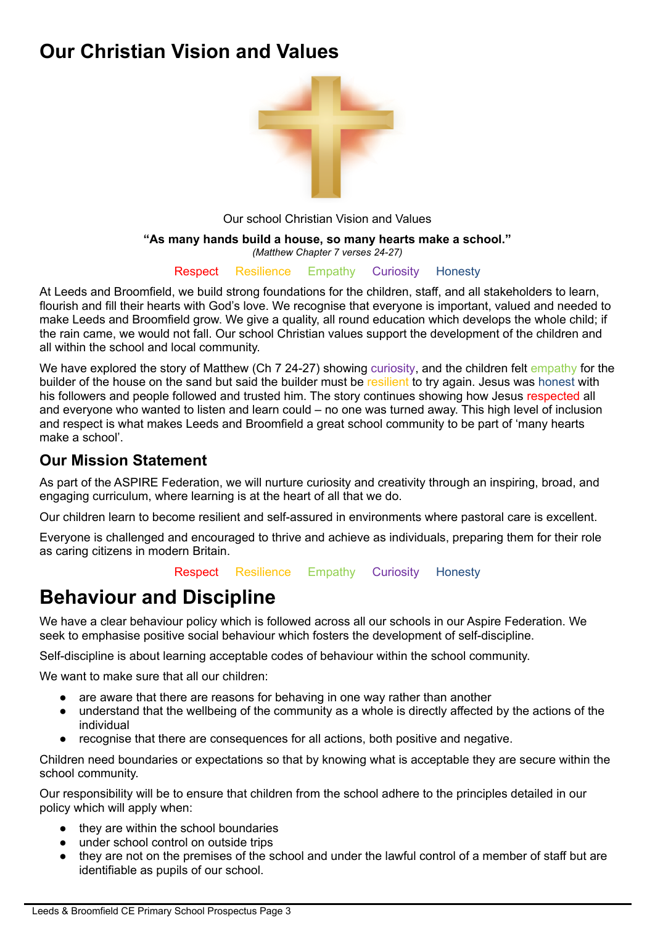# **Our Christian Vision and Values**



Our school Christian Vision and Values

#### **"As many hands build a house, so many hearts make a school."**

*(Matthew Chapter 7 verses 24-27)*

Respect Resilience Empathy Curiosity Honesty

At Leeds and Broomfield, we build strong foundations for the children, staff, and all stakeholders to learn, flourish and fill their hearts with God's love. We recognise that everyone is important, valued and needed to make Leeds and Broomfield grow. We give a quality, all round education which develops the whole child; if the rain came, we would not fall. Our school Christian values support the development of the children and all within the school and local community.

We have explored the story of Matthew (Ch 7 24-27) showing curiosity, and the children felt empathy for the builder of the house on the sand but said the builder must be resilient to try again. Jesus was honest with his followers and people followed and trusted him. The story continues showing how Jesus respected all and everyone who wanted to listen and learn could – no one was turned away. This high level of inclusion and respect is what makes Leeds and Broomfield a great school community to be part of 'many hearts make a school'.

#### **Our Mission Statement**

As part of the ASPIRE Federation, we will nurture curiosity and creativity through an inspiring, broad, and engaging curriculum, where learning is at the heart of all that we do.

Our children learn to become resilient and self-assured in environments where pastoral care is excellent.

Everyone is challenged and encouraged to thrive and achieve as individuals, preparing them for their role as caring citizens in modern Britain.

Respect Resilience Empathy Curiosity Honesty

# **Behaviour and Discipline**

We have a clear behaviour policy which is followed across all our schools in our Aspire Federation. We seek to emphasise positive social behaviour which fosters the development of self-discipline.

Self-discipline is about learning acceptable codes of behaviour within the school community.

We want to make sure that all our children:

- are aware that there are reasons for behaving in one way rather than another
- understand that the wellbeing of the community as a whole is directly affected by the actions of the individual
- recognise that there are consequences for all actions, both positive and negative.

Children need boundaries or expectations so that by knowing what is acceptable they are secure within the school community.

Our responsibility will be to ensure that children from the school adhere to the principles detailed in our policy which will apply when:

- they are within the school boundaries
- under school control on outside trips
- they are not on the premises of the school and under the lawful control of a member of staff but are identifiable as pupils of our school.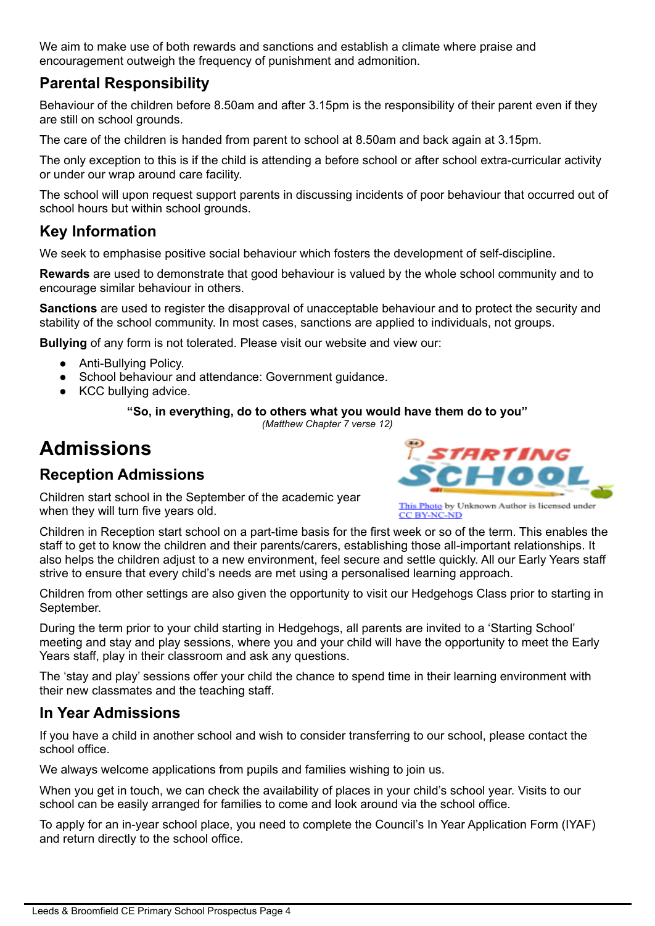We aim to make use of both rewards and sanctions and establish a climate where praise and encouragement outweigh the frequency of punishment and admonition.

#### **Parental Responsibility**

Behaviour of the children before 8.50am and after 3.15pm is the responsibility of their parent even if they are still on school grounds.

The care of the children is handed from parent to school at 8.50am and back again at 3.15pm.

The only exception to this is if the child is attending a before school or after school extra-curricular activity or under our wrap around care facility.

The school will upon request support parents in discussing incidents of poor behaviour that occurred out of school hours but within school grounds.

#### **Key Information**

We seek to emphasise positive social behaviour which fosters the development of self-discipline.

**Rewards** are used to demonstrate that good behaviour is valued by the whole school community and to encourage similar behaviour in others.

**Sanctions** are used to register the disapproval of unacceptable behaviour and to protect the security and stability of the school community. In most cases, sanctions are applied to individuals, not groups.

**Bullying** of any form is not tolerated. Please visit our website and view our:

- Anti-Bullying Policy.
- School behaviour and attendance: Government guidance.
- KCC bullying advice.

#### **"So, in everything, do to others what you would have them do to you"**

*(Matthew Chapter 7 verse 12)*

# **Admissions**

## **Reception Admissions**

Children start school in the September of the academic year when they will turn five years old.



**CC BY-NC-ND** 

Children in Reception start school on a part-time basis for the first week or so of the term. This enables the staff to get to know the children and their parents/carers, establishing those all-important relationships. It also helps the children adjust to a new environment, feel secure and settle quickly. All our Early Years staff strive to ensure that every child's needs are met using a personalised learning approach.

Children from other settings are also given the opportunity to visit our Hedgehogs Class prior to starting in September.

During the term prior to your child starting in Hedgehogs, all parents are invited to a 'Starting School' meeting and stay and play sessions, where you and your child will have the opportunity to meet the Early Years staff, play in their classroom and ask any questions.

The 'stay and play' sessions offer your child the chance to spend time in their learning environment with their new classmates and the teaching staff.

#### **In Year Admissions**

If you have a child in another school and wish to consider transferring to our school, please contact the school office.

We always welcome applications from pupils and families wishing to join us.

When you get in touch, we can check the availability of places in your child's school year. Visits to our school can be easily arranged for families to come and look around via the school office.

To apply for an in-year school place, you need to complete the Council's In Year Application Form (IYAF) and return directly to the school office.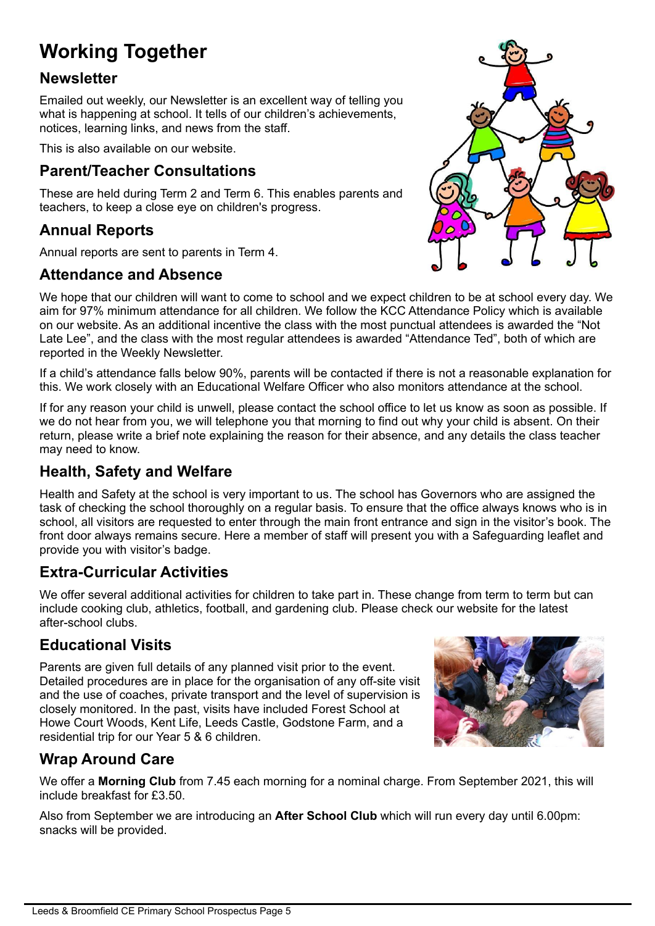# **Working Together**

#### **Newsletter**

Emailed out weekly, our Newsletter is an excellent way of telling you what is happening at school. It tells of our children's achievements, notices, learning links, and news from the staff.

This is also available on our website.

#### **Parent/Teacher Consultations**

These are held during Term 2 and Term 6. This enables parents and teachers, to keep a close eye on children's progress.

## **Annual Reports**

Annual reports are sent to parents in Term 4.

#### **Attendance and Absence**

We hope that our children will want to come to school and we expect children to be at school every day. We aim for 97% minimum attendance for all children. We follow the KCC Attendance Policy which is available on our website. As an additional incentive the class with the most punctual attendees is awarded the "Not Late Lee", and the class with the most regular attendees is awarded "Attendance Ted", both of which are reported in the Weekly Newsletter.

If a child's attendance falls below 90%, parents will be contacted if there is not a reasonable explanation for this. We work closely with an Educational Welfare Officer who also monitors attendance at the school.

If for any reason your child is unwell, please contact the school office to let us know as soon as possible. If we do not hear from you, we will telephone you that morning to find out why your child is absent. On their return, please write a brief note explaining the reason for their absence, and any details the class teacher may need to know.

# **Health, Safety and Welfare**

Health and Safety at the school is very important to us. The school has Governors who are assigned the task of checking the school thoroughly on a regular basis. To ensure that the office always knows who is in school, all visitors are requested to enter through the main front entrance and sign in the visitor's book. The front door always remains secure. Here a member of staff will present you with a Safeguarding leaflet and provide you with visitor's badge.

## **Extra-Curricular Activities**

We offer several additional activities for children to take part in. These change from term to term but can include cooking club, athletics, football, and gardening club. Please check our website for the latest after-school clubs.

## **Educational Visits**

Parents are given full details of any planned visit prior to the event. Detailed procedures are in place for the organisation of any off-site visit and the use of coaches, private transport and the level of supervision is closely monitored. In the past, visits have included Forest School at Howe Court Woods, Kent Life, Leeds Castle, Godstone Farm, and a residential trip for our Year 5 & 6 children.



# **Wrap Around Care**

We offer a **Morning Club** from 7.45 each morning for a nominal charge. From September 2021, this will include breakfast for £3.50.

Also from September we are introducing an **After School Club** which will run every day until 6.00pm: snacks will be provided.

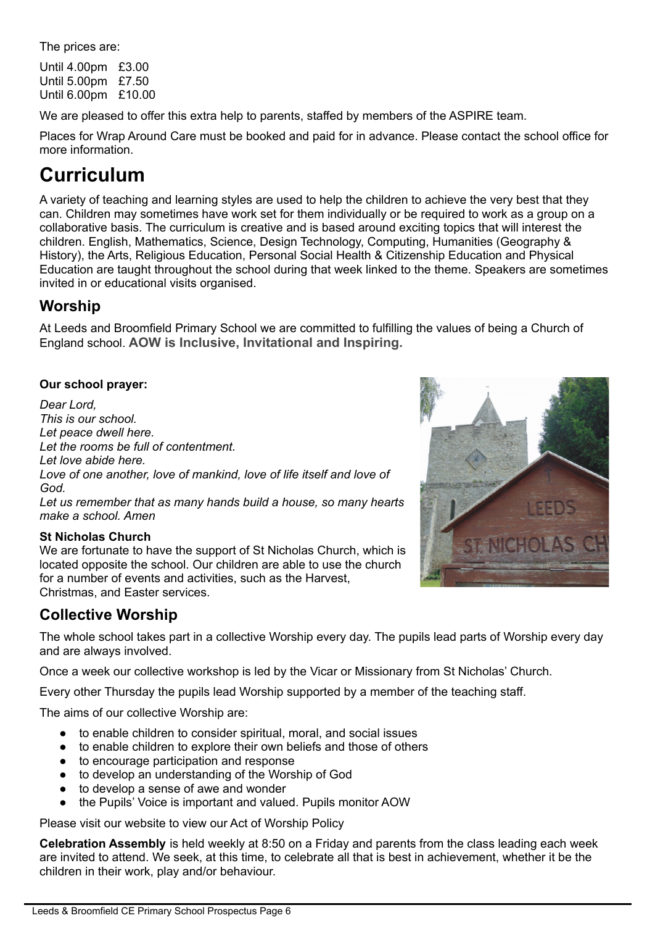The prices are:

Until 4.00pm £3.00 Until 5.00pm £7.50 Until 6.00pm £10.00

We are pleased to offer this extra help to parents, staffed by members of the ASPIRE team.

Places for Wrap Around Care must be booked and paid for in advance. Please contact the school office for more information.

# **Curriculum**

A variety of teaching and learning styles are used to help the children to achieve the very best that they can. Children may sometimes have work set for them individually or be required to work as a group on a collaborative basis. The curriculum is creative and is based around exciting topics that will interest the children. English, Mathematics, Science, Design Technology, Computing, Humanities (Geography & History), the Arts, Religious Education, Personal Social Health & Citizenship Education and Physical Education are taught throughout the school during that week linked to the theme. Speakers are sometimes invited in or educational visits organised.

#### **Worship**

At Leeds and Broomfield Primary School we are committed to fulfilling the values of being a Church of England school. **AOW is Inclusive, Invitational and Inspiring.**

#### **Our school prayer:**

*Dear Lord, This is our school. Let peace dwell here. Let the rooms be full of contentment. Let love abide here. Love of one another, love of mankind, love of life itself and love of God. Let us remember that as many hands build a house, so many hearts make a school. Amen*

#### **St Nicholas Church**

We are fortunate to have the support of St Nicholas Church, which is located opposite the school. Our children are able to use the church for a number of events and activities, such as the Harvest, Christmas, and Easter services.

## **Collective Worship**

The whole school takes part in a collective Worship every day. The pupils lead parts of Worship every day and are always involved.

Once a week our collective workshop is led by the Vicar or Missionary from St Nicholas' Church.

Every other Thursday the pupils lead Worship supported by a member of the teaching staff.

The aims of our collective Worship are:

- to enable children to consider spiritual, moral, and social issues
- to enable children to explore their own beliefs and those of others
- to encourage participation and response
- to develop an understanding of the Worship of God
- to develop a sense of awe and wonder
- the Pupils' Voice is important and valued. Pupils monitor AOW

Please visit our website to view our Act of Worship Policy

**Celebration Assembly** is held weekly at 8:50 on a Friday and parents from the class leading each week are invited to attend. We seek, at this time, to celebrate all that is best in achievement, whether it be the children in their work, play and/or behaviour.

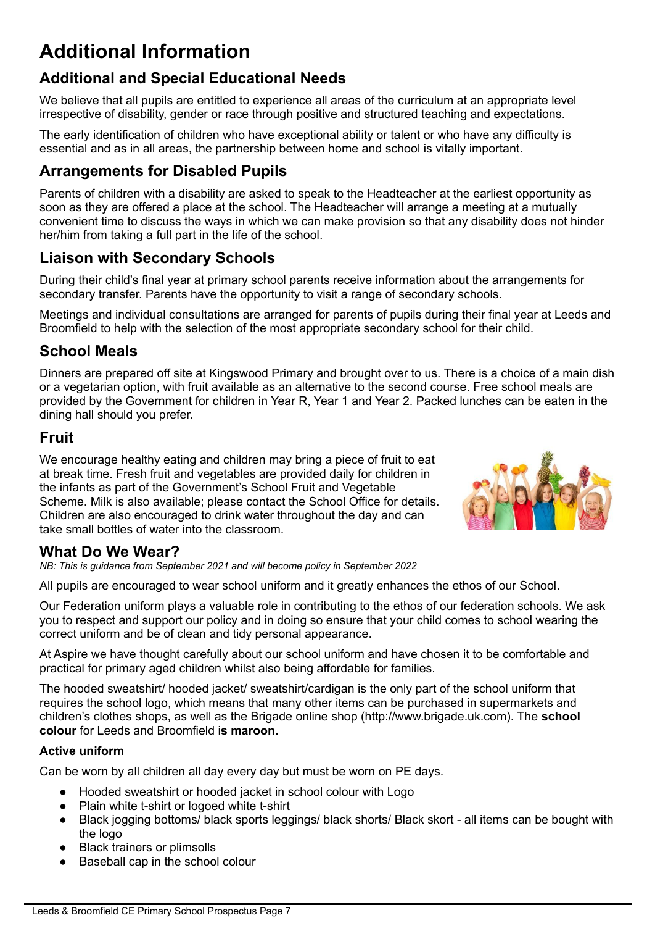# **Additional Information**

## **Additional and Special Educational Needs**

We believe that all pupils are entitled to experience all areas of the curriculum at an appropriate level irrespective of disability, gender or race through positive and structured teaching and expectations.

The early identification of children who have exceptional ability or talent or who have any difficulty is essential and as in all areas, the partnership between home and school is vitally important.

#### **Arrangements for Disabled Pupils**

Parents of children with a disability are asked to speak to the Headteacher at the earliest opportunity as soon as they are offered a place at the school. The Headteacher will arrange a meeting at a mutually convenient time to discuss the ways in which we can make provision so that any disability does not hinder her/him from taking a full part in the life of the school.

#### **Liaison with Secondary Schools**

During their child's final year at primary school parents receive information about the arrangements for secondary transfer. Parents have the opportunity to visit a range of secondary schools.

Meetings and individual consultations are arranged for parents of pupils during their final year at Leeds and Broomfield to help with the selection of the most appropriate secondary school for their child.

#### **School Meals**

Dinners are prepared off site at Kingswood Primary and brought over to us. There is a choice of a main dish or a vegetarian option, with fruit available as an alternative to the second course. Free school meals are provided by the Government for children in Year R, Year 1 and Year 2. Packed lunches can be eaten in the dining hall should you prefer.

#### **Fruit**

We encourage healthy eating and children may bring a piece of fruit to eat at break time. Fresh fruit and vegetables are provided daily for children in the infants as part of the Government's School Fruit and Vegetable Scheme. Milk is also available; please contact the School Office for details. Children are also encouraged to drink water throughout the day and can take small bottles of water into the classroom.



## **What Do We Wear?**

*NB: This is guidance from September 2021 and will become policy in September 2022*

All pupils are encouraged to wear school uniform and it greatly enhances the ethos of our School.

Our Federation uniform plays a valuable role in contributing to the ethos of our federation schools. We ask you to respect and support our policy and in doing so ensure that your child comes to school wearing the correct uniform and be of clean and tidy personal appearance.

At Aspire we have thought carefully about our school uniform and have chosen it to be comfortable and practical for primary aged children whilst also being affordable for families.

The hooded sweatshirt/ hooded jacket/ sweatshirt/cardigan is the only part of the school uniform that requires the school logo, which means that many other items can be purchased in supermarkets and children's clothes shops, as well as the Brigade online shop (http://www.brigade.uk.com). The **school colour** for Leeds and Broomfield i**s maroon.**

#### **Active uniform**

Can be worn by all children all day every day but must be worn on PE days.

- Hooded sweatshirt or hooded jacket in school colour with Logo
- Plain white t-shirt or logoed white t-shirt
- Black jogging bottoms/ black sports leggings/ black shorts/ Black skort all items can be bought with the logo
- Black trainers or plimsolls
- Baseball cap in the school colour